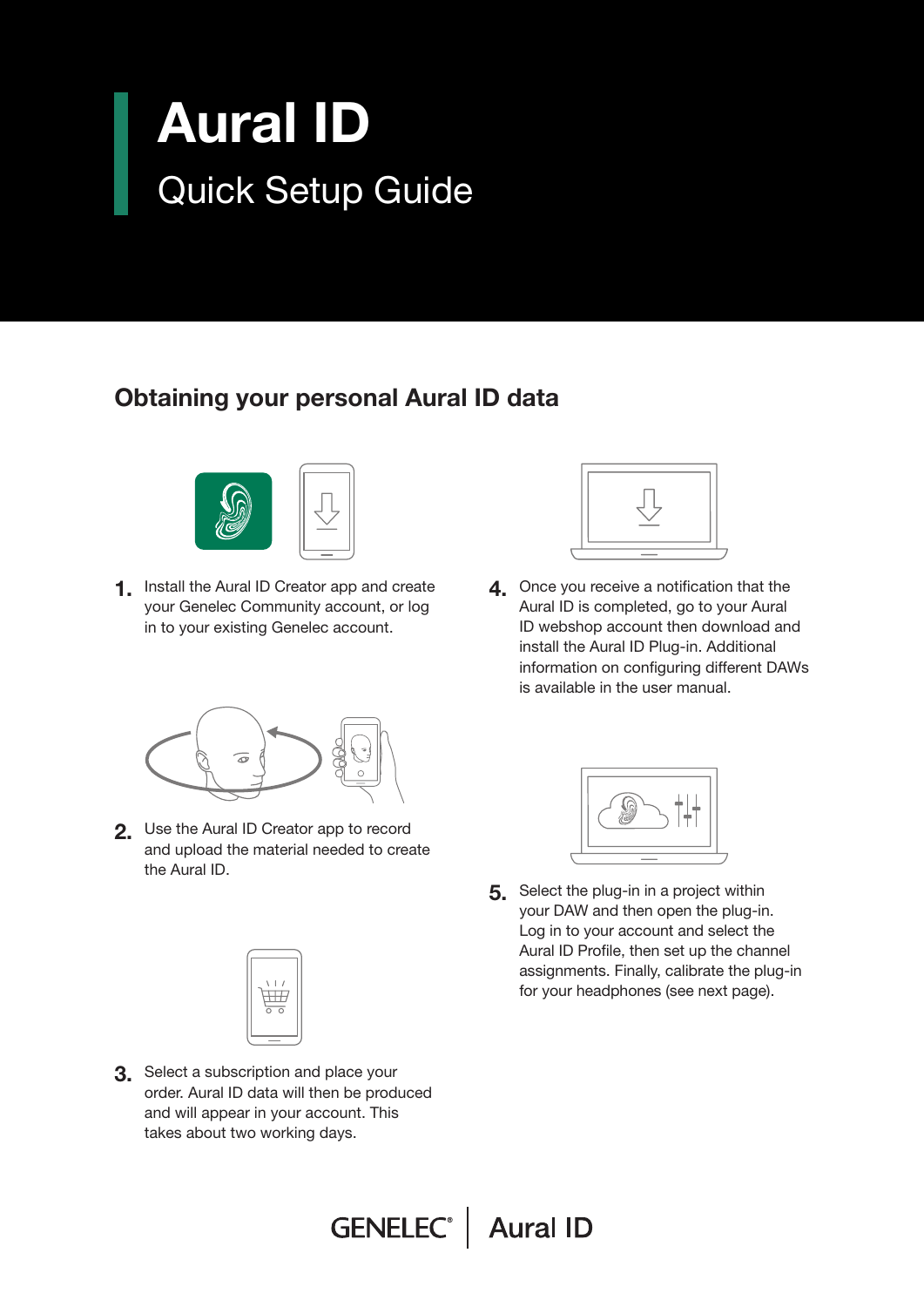## Aural ID Quick Setup Guide

## Obtaining your personal Aural ID data



1. Install the Aural ID Creator app and create your Genelec Community account, or log in to your existing Genelec account.



**4** Once you receive a notification that the Aural ID is completed, go to your Aural ID webshop account then download and install the Aural ID Plug-in. Additional information on configuring different DAWs is available in the user manual.



2. Use the Aural ID Creator app to record and upload the material needed to create the Aural ID.



**3.** Select a subscription and place your order. Aural ID data will then be produced and will appear in your account. This takes about two working days.



5. Select the plug-in in a project within your DAW and then open the plug-in. Log in to your account and select the Aural ID Profile, then set up the channel assignments. Finally, calibrate the plug-in for your headphones (see next page).